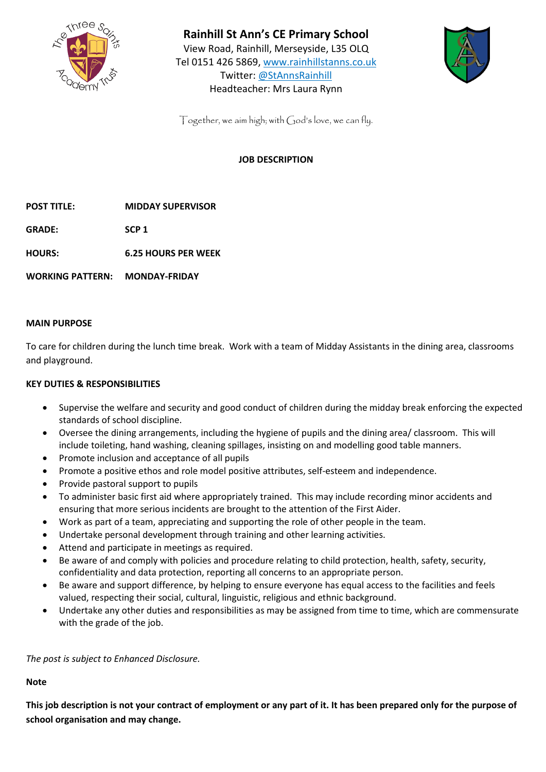

**Rainhill St Ann's CE Primary School**  View Road, Rainhill, Merseyside, L35 OLQ

Tel 0151 426 5869, [www.rainhillstanns.co.uk](http://www.rainhillstanns.co.uk/) Twitter: @StAnnsRainhill Headteacher: Mrs Laura Rynn



Together, we aim high; with God's love, we can fly.

## **JOB DESCRIPTION**

**POST TITLE: MIDDAY SUPERVISOR**

**GRADE: SCP 1**

**HOURS: 6.25 HOURS PER WEEK**

**WORKING PATTERN: MONDAY-FRIDAY**

## **MAIN PURPOSE**

To care for children during the lunch time break. Work with a team of Midday Assistants in the dining area, classrooms and playground.

## **KEY DUTIES & RESPONSIBILITIES**

- Supervise the welfare and security and good conduct of children during the midday break enforcing the expected standards of school discipline.
- Oversee the dining arrangements, including the hygiene of pupils and the dining area/ classroom. This will include toileting, hand washing, cleaning spillages, insisting on and modelling good table manners.
- Promote inclusion and acceptance of all pupils
- Promote a positive ethos and role model positive attributes, self-esteem and independence.
- Provide pastoral support to pupils
- To administer basic first aid where appropriately trained. This may include recording minor accidents and ensuring that more serious incidents are brought to the attention of the First Aider.
- Work as part of a team, appreciating and supporting the role of other people in the team.
- Undertake personal development through training and other learning activities.
- Attend and participate in meetings as required.
- Be aware of and comply with policies and procedure relating to child protection, health, safety, security, confidentiality and data protection, reporting all concerns to an appropriate person.
- Be aware and support difference, by helping to ensure everyone has equal access to the facilities and feels valued, respecting their social, cultural, linguistic, religious and ethnic background.
- Undertake any other duties and responsibilities as may be assigned from time to time, which are commensurate with the grade of the job.

*The post is subject to Enhanced Disclosure.*

**Note**

**This job description is not your contract of employment or any part of it. It has been prepared only for the purpose of school organisation and may change.**